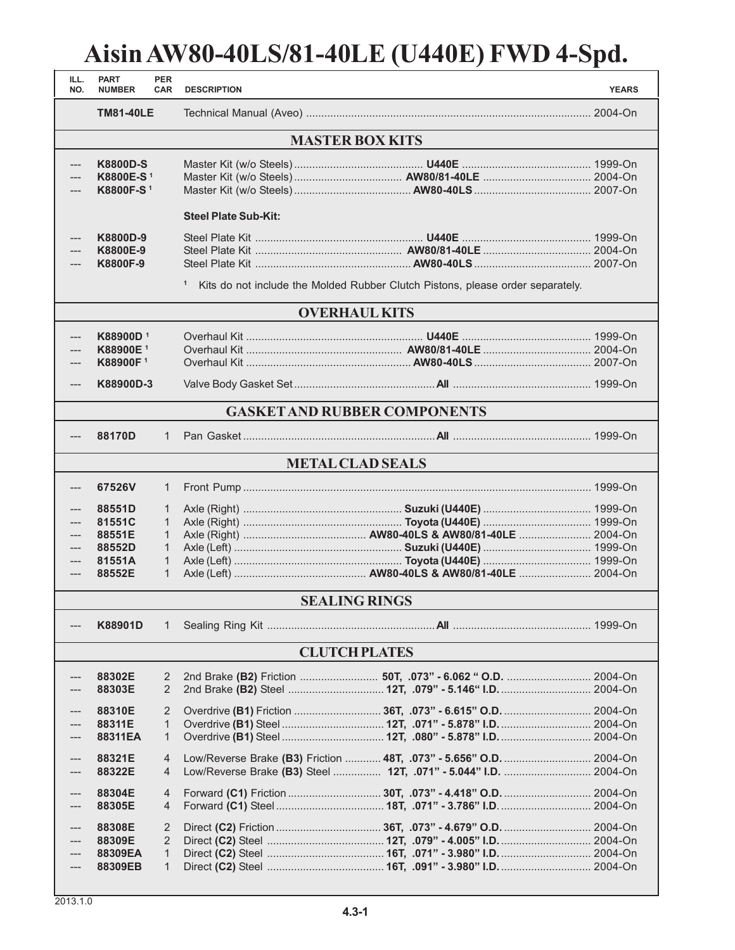## **Aisin AW80-40LS/81-40LE (U440E) FWD 4-Spd.**

| ILL.<br>NO.                         | <b>PART</b><br><b>NUMBER</b>                                      | <b>PER</b><br><b>CAR</b> | <b>DESCRIPTION</b>          |                                                                                | <b>YEARS</b> |  |  |  |
|-------------------------------------|-------------------------------------------------------------------|--------------------------|-----------------------------|--------------------------------------------------------------------------------|--------------|--|--|--|
|                                     | <b>TM81-40LE</b>                                                  |                          |                             |                                                                                |              |  |  |  |
| <b>MASTER BOX KITS</b>              |                                                                   |                          |                             |                                                                                |              |  |  |  |
| ---                                 | <b>K8800D-S</b><br>K8800E-S <sup>1</sup><br>K8800F-S <sup>1</sup> |                          |                             |                                                                                |              |  |  |  |
|                                     |                                                                   |                          | <b>Steel Plate Sub-Kit:</b> |                                                                                |              |  |  |  |
|                                     | K8800D-9<br>K8800E-9<br>K8800F-9                                  |                          | $\mathbf{1}$                | Kits do not include the Molded Rubber Clutch Pistons, please order separately. |              |  |  |  |
| <b>OVERHAUL KITS</b>                |                                                                   |                          |                             |                                                                                |              |  |  |  |
|                                     | <b>K88900D</b> <sup>1</sup>                                       |                          |                             |                                                                                |              |  |  |  |
|                                     | K88900E <sup>1</sup>                                              |                          |                             |                                                                                |              |  |  |  |
|                                     | K88900F1                                                          |                          |                             |                                                                                |              |  |  |  |
| ---                                 | K88900D-3                                                         |                          |                             |                                                                                |              |  |  |  |
| <b>GASKET AND RUBBER COMPONENTS</b> |                                                                   |                          |                             |                                                                                |              |  |  |  |
|                                     | 88170D                                                            | 1                        |                             |                                                                                |              |  |  |  |
| <b>METAL CLAD SEALS</b>             |                                                                   |                          |                             |                                                                                |              |  |  |  |
|                                     | 67526V                                                            | $\mathbf{1}$             |                             |                                                                                |              |  |  |  |
|                                     | 88551D                                                            | $\mathbf{1}$             |                             |                                                                                |              |  |  |  |
|                                     | 81551C                                                            | $\mathbf{1}$             |                             |                                                                                |              |  |  |  |
|                                     | 88551E                                                            | 1.                       |                             |                                                                                |              |  |  |  |
| ---                                 | 88552D                                                            | 1                        |                             |                                                                                |              |  |  |  |
| $---$                               | 81551A                                                            | $\mathbf{1}$             |                             |                                                                                |              |  |  |  |
| ---                                 | 88552E                                                            | 1                        |                             |                                                                                |              |  |  |  |
| <b>SEALING RINGS</b>                |                                                                   |                          |                             |                                                                                |              |  |  |  |
|                                     | K88901D                                                           | 1                        |                             |                                                                                |              |  |  |  |
|                                     |                                                                   |                          |                             | <b>CLUTCH PLATES</b>                                                           |              |  |  |  |
|                                     | 88302E                                                            | 2                        |                             | 2nd Brake (B2) Friction  50T, .073" - 6.062 " O.D.  2004-On                    |              |  |  |  |
|                                     | 88303E                                                            | 2                        |                             |                                                                                |              |  |  |  |
|                                     | 88310E                                                            | 2                        |                             |                                                                                |              |  |  |  |
|                                     | 88311E                                                            | $\mathbf{1}$             |                             |                                                                                |              |  |  |  |
|                                     | 88311EA                                                           | $\mathbf{1}$             |                             |                                                                                |              |  |  |  |
|                                     |                                                                   |                          |                             |                                                                                |              |  |  |  |
| ---                                 | 88321E                                                            | $\overline{4}$           |                             | Low/Reverse Brake (B3) Friction  48T, .073" - 5.656" O.D.  2004-On             |              |  |  |  |
| ---                                 | 88322E                                                            | 4                        |                             | Low/Reverse Brake (B3) Steel  12T, .071" - 5.044" I.D.  2004-On                |              |  |  |  |
| ---                                 | 88304E                                                            | 4                        |                             |                                                                                |              |  |  |  |
|                                     | 88305E                                                            | $\overline{4}$           |                             |                                                                                |              |  |  |  |
|                                     | 88308E                                                            | 2                        |                             |                                                                                |              |  |  |  |
|                                     | 88309E                                                            | 2                        |                             |                                                                                |              |  |  |  |
|                                     | 88309EA                                                           | $\mathbf{1}$             |                             |                                                                                |              |  |  |  |
|                                     | 88309EB                                                           | $\mathbf{1}$             |                             |                                                                                |              |  |  |  |

٠